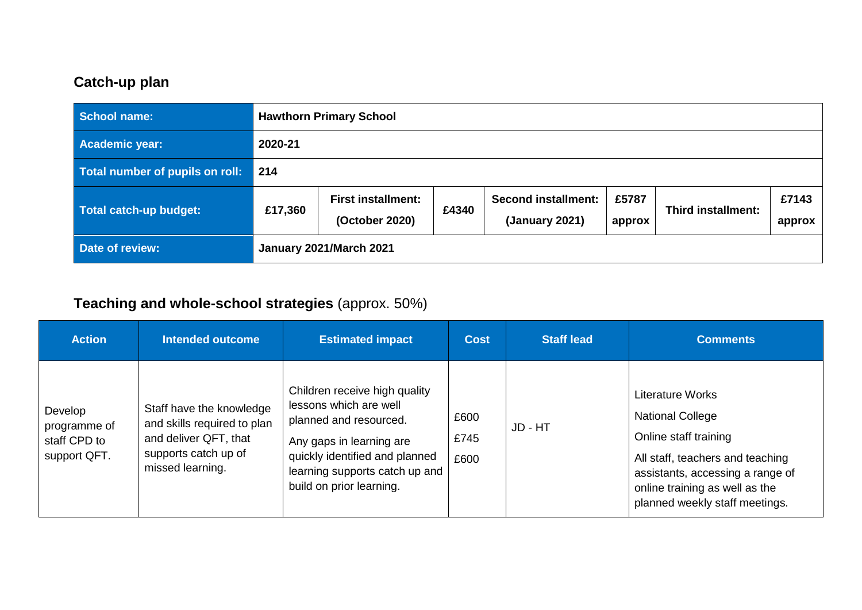## **Catch-up plan**

| <b>School name:</b>             |                         | <b>Hawthorn Primary School</b>              |       |                                              |                 |                    |                 |  |  |
|---------------------------------|-------------------------|---------------------------------------------|-------|----------------------------------------------|-----------------|--------------------|-----------------|--|--|
| <b>Academic year:</b>           | 2020-21                 |                                             |       |                                              |                 |                    |                 |  |  |
| Total number of pupils on roll: | 214                     |                                             |       |                                              |                 |                    |                 |  |  |
| Total catch-up budget:          | £17,360                 | <b>First installment:</b><br>(October 2020) | £4340 | <b>Second installment:</b><br>(January 2021) | £5787<br>approx | Third installment: | £7143<br>approx |  |  |
| <b>Date of review:</b>          | January 2021/March 2021 |                                             |       |                                              |                 |                    |                 |  |  |

## **Teaching and whole-school strategies** (approx. 50%)

| <b>Action</b>                                           | <b>Intended outcome</b>                                                                                                      | <b>Estimated impact</b>                                                                                                                                                                                       | <b>Cost</b>          | <b>Staff lead</b> | <b>Comments</b>                                                                                                                                                                                                  |
|---------------------------------------------------------|------------------------------------------------------------------------------------------------------------------------------|---------------------------------------------------------------------------------------------------------------------------------------------------------------------------------------------------------------|----------------------|-------------------|------------------------------------------------------------------------------------------------------------------------------------------------------------------------------------------------------------------|
| Develop<br>programme of<br>staff CPD to<br>support QFT. | Staff have the knowledge<br>and skills required to plan<br>and deliver QFT, that<br>supports catch up of<br>missed learning. | Children receive high quality<br>lessons which are well<br>planned and resourced.<br>Any gaps in learning are<br>quickly identified and planned<br>learning supports catch up and<br>build on prior learning. | £600<br>£745<br>£600 | JD - HT           | Literature Works<br><b>National College</b><br>Online staff training<br>All staff, teachers and teaching<br>assistants, accessing a range of<br>online training as well as the<br>planned weekly staff meetings. |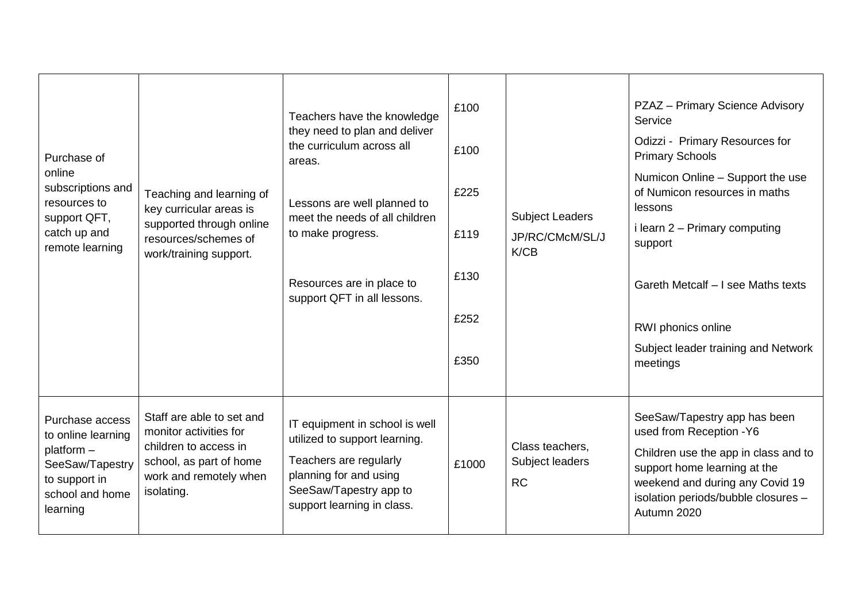| Purchase of<br>online<br>subscriptions and<br>resources to<br>support QFT,<br>catch up and<br>remote learning          | Teaching and learning of<br>key curricular areas is<br>supported through online<br>resources/schemes of<br>work/training support.               | Teachers have the knowledge<br>they need to plan and deliver<br>the curriculum across all<br>areas.<br>Lessons are well planned to<br>meet the needs of all children<br>to make progress.<br>Resources are in place to<br>support QFT in all lessons. | £100<br>£100<br>£225<br>£119<br>£130<br>£252<br>£350 | <b>Subject Leaders</b><br>JP/RC/CMcM/SL/J<br>K/CB | PZAZ - Primary Science Advisory<br>Service<br>Odizzi - Primary Resources for<br><b>Primary Schools</b><br>Numicon Online - Support the use<br>of Numicon resources in maths<br>lessons<br>i learn 2 - Primary computing<br>support<br>Gareth Metcalf - I see Maths texts<br>RWI phonics online<br>Subject leader training and Network<br>meetings |
|------------------------------------------------------------------------------------------------------------------------|-------------------------------------------------------------------------------------------------------------------------------------------------|-------------------------------------------------------------------------------------------------------------------------------------------------------------------------------------------------------------------------------------------------------|------------------------------------------------------|---------------------------------------------------|---------------------------------------------------------------------------------------------------------------------------------------------------------------------------------------------------------------------------------------------------------------------------------------------------------------------------------------------------|
| Purchase access<br>to online learning<br>platform -<br>SeeSaw/Tapestry<br>to support in<br>school and home<br>learning | Staff are able to set and<br>monitor activities for<br>children to access in<br>school, as part of home<br>work and remotely when<br>isolating. | IT equipment in school is well<br>utilized to support learning.<br>Teachers are regularly<br>planning for and using<br>SeeSaw/Tapestry app to<br>support learning in class.                                                                           | £1000                                                | Class teachers,<br>Subject leaders<br><b>RC</b>   | SeeSaw/Tapestry app has been<br>used from Reception -Y6<br>Children use the app in class and to<br>support home learning at the<br>weekend and during any Covid 19<br>isolation periods/bubble closures -<br>Autumn 2020                                                                                                                          |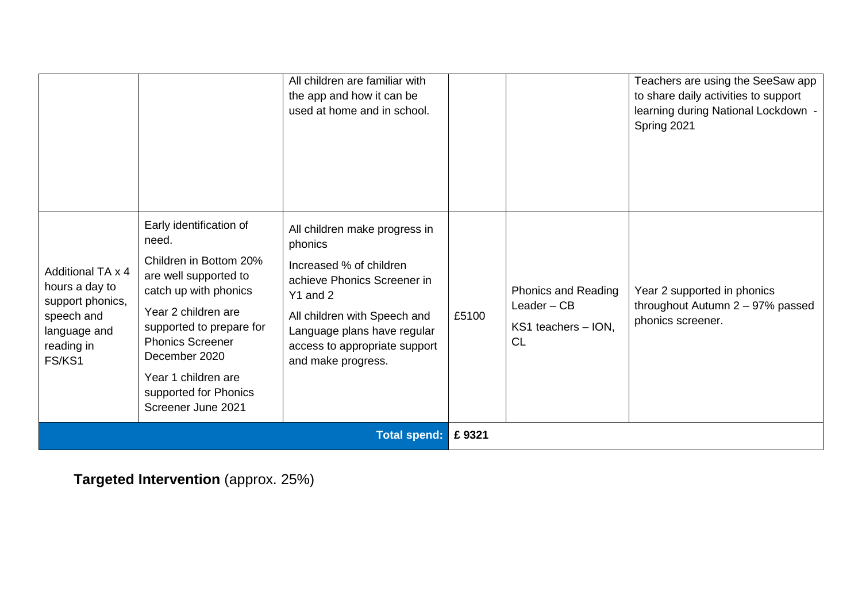|                                                                                                               |                                                                                                                                                                                                                                                                                   | All children are familiar with<br>the app and how it can be<br>used at home and in school.                                                                                                                                           |       |                                                                          | Teachers are using the SeeSaw app<br>to share daily activities to support<br>learning during National Lockdown -<br>Spring 2021 |
|---------------------------------------------------------------------------------------------------------------|-----------------------------------------------------------------------------------------------------------------------------------------------------------------------------------------------------------------------------------------------------------------------------------|--------------------------------------------------------------------------------------------------------------------------------------------------------------------------------------------------------------------------------------|-------|--------------------------------------------------------------------------|---------------------------------------------------------------------------------------------------------------------------------|
| Additional TA x 4<br>hours a day to<br>support phonics,<br>speech and<br>language and<br>reading in<br>FS/KS1 | Early identification of<br>need.<br>Children in Bottom 20%<br>are well supported to<br>catch up with phonics<br>Year 2 children are<br>supported to prepare for<br><b>Phonics Screener</b><br>December 2020<br>Year 1 children are<br>supported for Phonics<br>Screener June 2021 | All children make progress in<br>phonics<br>Increased % of children<br>achieve Phonics Screener in<br>Y1 and 2<br>All children with Speech and<br>Language plans have regular<br>access to appropriate support<br>and make progress. | £5100 | Phonics and Reading<br>Leader $-$ CB<br>KS1 teachers - ION,<br><b>CL</b> | Year 2 supported in phonics<br>throughout Autumn 2 - 97% passed<br>phonics screener.                                            |
|                                                                                                               | <b>Total spend:</b>                                                                                                                                                                                                                                                               |                                                                                                                                                                                                                                      |       |                                                                          |                                                                                                                                 |

**Targeted Intervention** (approx. 25%)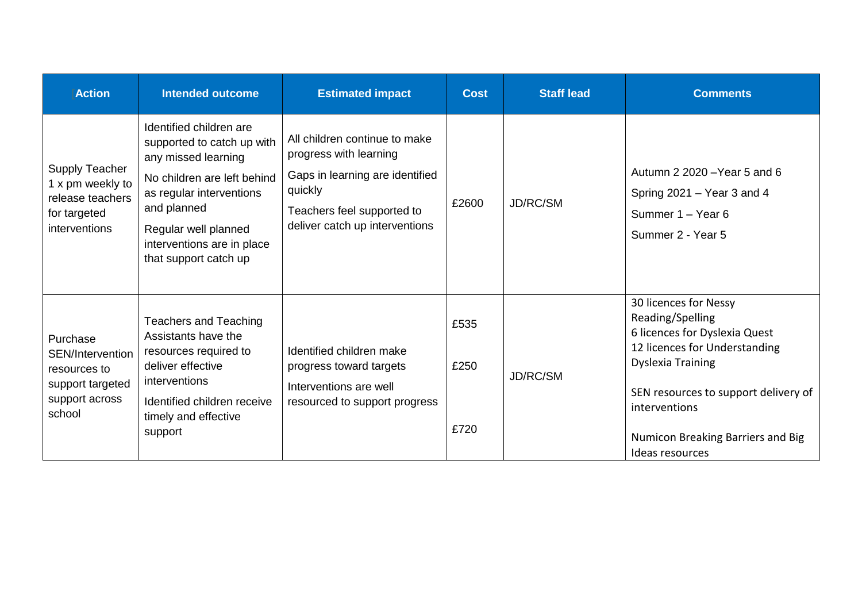| <b>Action</b>                                                                                  | <b>Intended outcome</b>                                                                                                                                                                                                               | <b>Estimated impact</b>                                                                                                                                               | <b>Cost</b>          | <b>Staff lead</b> | <b>Comments</b>                                                                                                                                                                                                                                          |
|------------------------------------------------------------------------------------------------|---------------------------------------------------------------------------------------------------------------------------------------------------------------------------------------------------------------------------------------|-----------------------------------------------------------------------------------------------------------------------------------------------------------------------|----------------------|-------------------|----------------------------------------------------------------------------------------------------------------------------------------------------------------------------------------------------------------------------------------------------------|
| <b>Supply Teacher</b><br>1 x pm weekly to<br>release teachers<br>for targeted<br>interventions | Identified children are<br>supported to catch up with<br>any missed learning<br>No children are left behind<br>as regular interventions<br>and planned<br>Regular well planned<br>interventions are in place<br>that support catch up | All children continue to make<br>progress with learning<br>Gaps in learning are identified<br>quickly<br>Teachers feel supported to<br>deliver catch up interventions | £2600                | JD/RC/SM          | Autumn 2 2020 - Year 5 and 6<br>Spring $2021 -$ Year 3 and 4<br>Summer 1 - Year 6<br>Summer 2 - Year 5                                                                                                                                                   |
| Purchase<br>SEN/Intervention<br>resources to<br>support targeted<br>support across<br>school   | <b>Teachers and Teaching</b><br>Assistants have the<br>resources required to<br>deliver effective<br>interventions<br>Identified children receive<br>timely and effective<br>support                                                  | Identified children make<br>progress toward targets<br>Interventions are well<br>resourced to support progress                                                        | £535<br>£250<br>£720 | JD/RC/SM          | 30 licences for Nessy<br>Reading/Spelling<br>6 licences for Dyslexia Quest<br>12 licences for Understanding<br><b>Dyslexia Training</b><br>SEN resources to support delivery of<br>interventions<br>Numicon Breaking Barriers and Big<br>Ideas resources |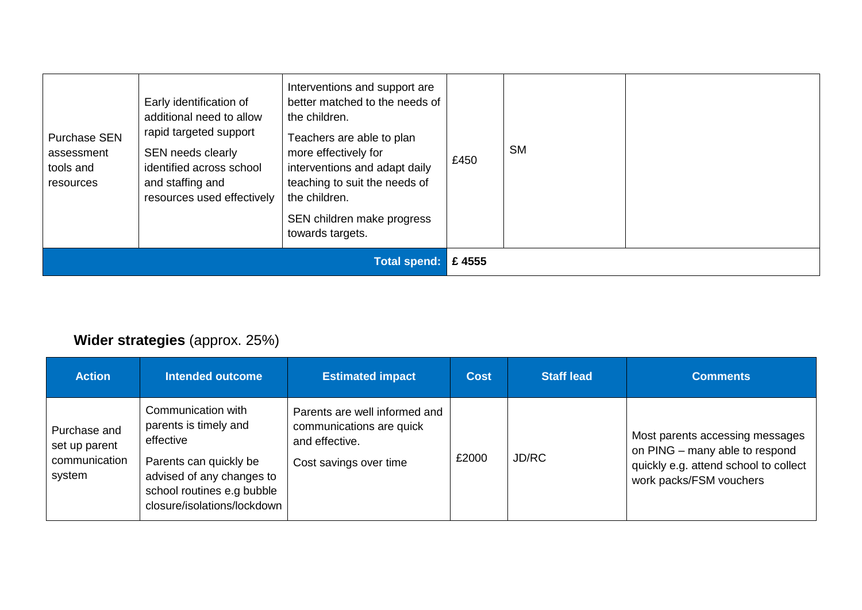| <b>Purchase SEN</b><br>assessment<br>tools and<br>resources | Early identification of<br>additional need to allow<br>rapid targeted support<br>SEN needs clearly<br>identified across school<br>and staffing and<br>resources used effectively | Interventions and support are<br>better matched to the needs of<br>the children.<br>Teachers are able to plan<br>more effectively for<br>interventions and adapt daily<br>teaching to suit the needs of<br>the children.<br>SEN children make progress<br>towards targets. | £450  | <b>SM</b> |  |
|-------------------------------------------------------------|----------------------------------------------------------------------------------------------------------------------------------------------------------------------------------|----------------------------------------------------------------------------------------------------------------------------------------------------------------------------------------------------------------------------------------------------------------------------|-------|-----------|--|
| <b>Total spend:</b>                                         |                                                                                                                                                                                  |                                                                                                                                                                                                                                                                            | £4555 |           |  |

## **Wider strategies** (approx. 25%)

| <b>Action</b>                                            | Intended outcome                                                                                                                                                             | <b>Estimated impact</b>                                                                               | <b>Cost</b> | <b>Staff lead</b> | <b>Comments</b>                                                                                                                       |
|----------------------------------------------------------|------------------------------------------------------------------------------------------------------------------------------------------------------------------------------|-------------------------------------------------------------------------------------------------------|-------------|-------------------|---------------------------------------------------------------------------------------------------------------------------------------|
| Purchase and<br>set up parent<br>communication<br>system | Communication with<br>parents is timely and<br>effective<br>Parents can quickly be<br>advised of any changes to<br>school routines e.g bubble<br>closure/isolations/lockdown | Parents are well informed and<br>communications are quick<br>and effective.<br>Cost savings over time | £2000       | JD/RC             | Most parents accessing messages<br>on PING - many able to respond<br>quickly e.g. attend school to collect<br>work packs/FSM vouchers |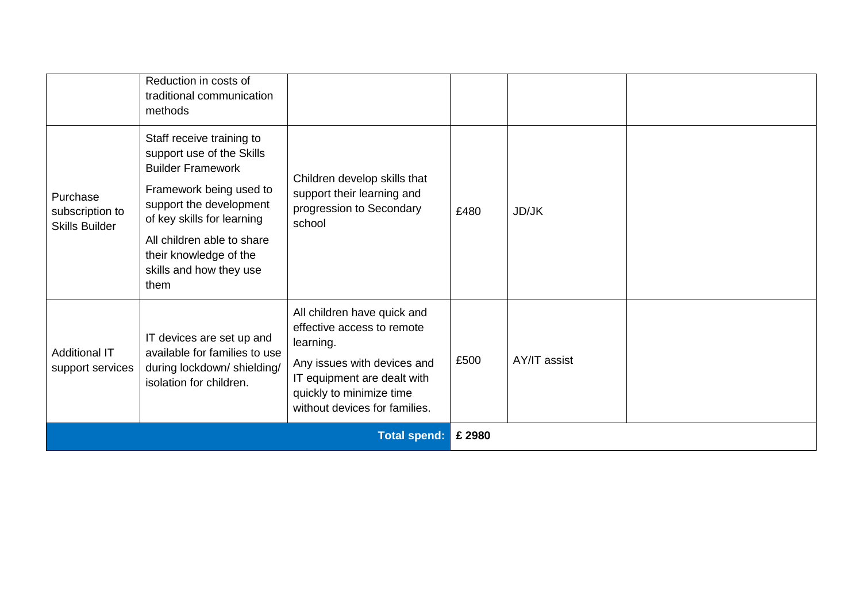|                                                      | Reduction in costs of<br>traditional communication<br>methods                                                                                                                                                                                                     |                                                                                                                                                                                                   |        |              |  |
|------------------------------------------------------|-------------------------------------------------------------------------------------------------------------------------------------------------------------------------------------------------------------------------------------------------------------------|---------------------------------------------------------------------------------------------------------------------------------------------------------------------------------------------------|--------|--------------|--|
| Purchase<br>subscription to<br><b>Skills Builder</b> | Staff receive training to<br>support use of the Skills<br><b>Builder Framework</b><br>Framework being used to<br>support the development<br>of key skills for learning<br>All children able to share<br>their knowledge of the<br>skills and how they use<br>them | Children develop skills that<br>support their learning and<br>progression to Secondary<br>school                                                                                                  | £480   | JD/JK        |  |
| <b>Additional IT</b><br>support services             | IT devices are set up and<br>available for families to use<br>during lockdown/shielding/<br>isolation for children.                                                                                                                                               | All children have quick and<br>effective access to remote<br>learning.<br>Any issues with devices and<br>IT equipment are dealt with<br>quickly to minimize time<br>without devices for families. | £500   | AY/IT assist |  |
| <b>Total spend:</b>                                  |                                                                                                                                                                                                                                                                   |                                                                                                                                                                                                   | £ 2980 |              |  |